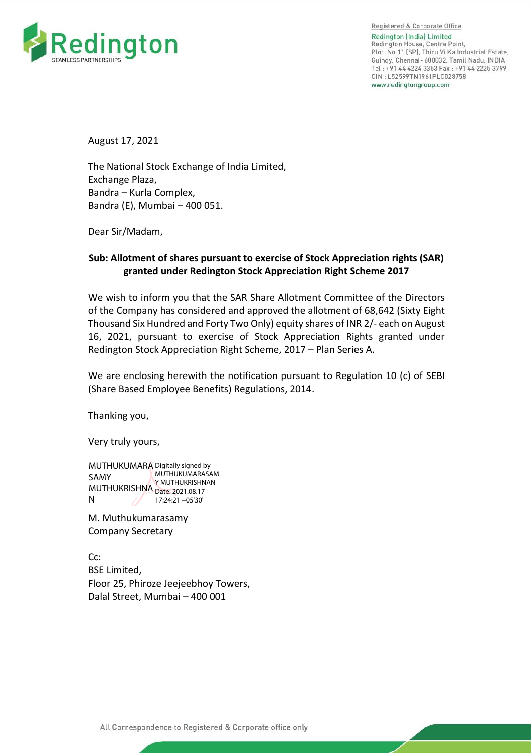

Registered & Corporate Office **Redinaton (India) Limited** Redington House, Centre Point, Plot. No.11 (SP), Thiru. Vi. Ka Industrial Estate, Guindy, Chennai- 600032. Tamil Nadu, INDIA Tel: +91 44 4224 3353 Fax: +91 44 2225 3799 CIN: L52599TN1961PLC028758 www.redingtongroup.com

August 17, 2021

The National Stock Exchange of India Limited, Exchange Plaza, Bandra – Kurla Complex, Bandra (E), Mumbai – 400 051.

Dear Sir/Madam,

## **Sub: Allotment of shares pursuant to exercise of Stock Appreciation rights (SAR) granted under Redington Stock Appreciation Right Scheme 2017**

We wish to inform you that the SAR Share Allotment Committee of the Directors of the Company has considered and approved the allotment of 68,642 (Sixty Eight Thousand Six Hundred and Forty Two Only) equity shares of INR 2/- each on August 16, 2021, pursuant to exercise of Stock Appreciation Rights granted under Redington Stock Appreciation Right Scheme, 2017 – Plan Series A.

We are enclosing herewith the notification pursuant to Regulation 10 (c) of SEBI (Share Based Employee Benefits) Regulations, 2014.

Thanking you,

Very truly yours,

MUTHUKUMARA Digitally signed by SAMY MUTHUKRISHNA Date: 2021.08.17 N MUTHUKUMARASAM Y MUTHUKRISHNAN 17:24:21 +05'30'

M. Muthukumarasamy Company Secretary

Cc: BSE Limited, Floor 25, Phiroze Jeejeebhoy Towers, Dalal Street, Mumbai – 400 001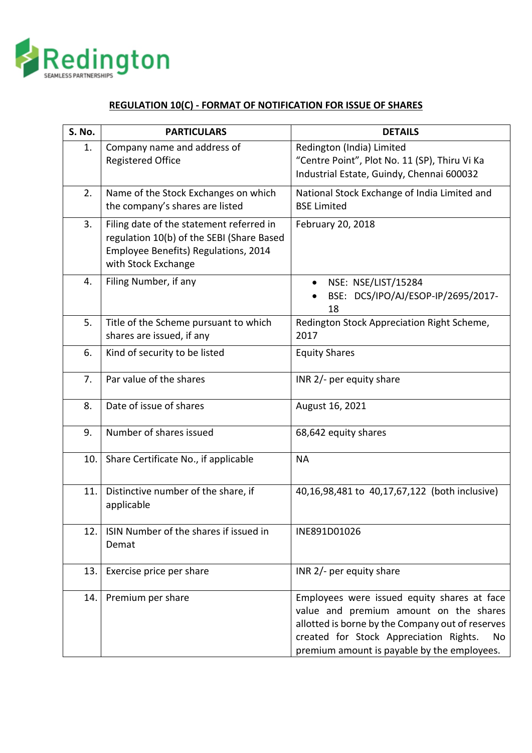

## **REGULATION 10(C) - FORMAT OF NOTIFICATION FOR ISSUE OF SHARES**

| S. No. | <b>PARTICULARS</b>                                                                                                                                   | <b>DETAILS</b>                                                                                                                                                                                                                           |
|--------|------------------------------------------------------------------------------------------------------------------------------------------------------|------------------------------------------------------------------------------------------------------------------------------------------------------------------------------------------------------------------------------------------|
| 1.     | Company name and address of<br><b>Registered Office</b>                                                                                              | Redington (India) Limited<br>"Centre Point", Plot No. 11 (SP), Thiru Vi Ka<br>Industrial Estate, Guindy, Chennai 600032                                                                                                                  |
| 2.     | Name of the Stock Exchanges on which<br>the company's shares are listed                                                                              | National Stock Exchange of India Limited and<br><b>BSE Limited</b>                                                                                                                                                                       |
| 3.     | Filing date of the statement referred in<br>regulation 10(b) of the SEBI (Share Based<br>Employee Benefits) Regulations, 2014<br>with Stock Exchange | February 20, 2018                                                                                                                                                                                                                        |
| 4.     | Filing Number, if any                                                                                                                                | NSE: NSE/LIST/15284<br>$\bullet$<br>BSE: DCS/IPO/AJ/ESOP-IP/2695/2017-<br>18                                                                                                                                                             |
| 5.     | Title of the Scheme pursuant to which<br>shares are issued, if any                                                                                   | Redington Stock Appreciation Right Scheme,<br>2017                                                                                                                                                                                       |
| 6.     | Kind of security to be listed                                                                                                                        | <b>Equity Shares</b>                                                                                                                                                                                                                     |
| 7.     | Par value of the shares                                                                                                                              | INR 2/- per equity share                                                                                                                                                                                                                 |
| 8.     | Date of issue of shares                                                                                                                              | August 16, 2021                                                                                                                                                                                                                          |
| 9.     | Number of shares issued                                                                                                                              | 68,642 equity shares                                                                                                                                                                                                                     |
| 10.    | Share Certificate No., if applicable                                                                                                                 | <b>NA</b>                                                                                                                                                                                                                                |
| 11.    | Distinctive number of the share, if<br>applicable                                                                                                    | 40,16,98,481 to 40,17,67,122 (both inclusive)                                                                                                                                                                                            |
| 12.    | ISIN Number of the shares if issued in<br>Demat                                                                                                      | INE891D01026                                                                                                                                                                                                                             |
| 13.    | Exercise price per share                                                                                                                             | INR 2/- per equity share                                                                                                                                                                                                                 |
| 14.    | Premium per share                                                                                                                                    | Employees were issued equity shares at face<br>value and premium amount on the shares<br>allotted is borne by the Company out of reserves<br>created for Stock Appreciation Rights.<br>No<br>premium amount is payable by the employees. |